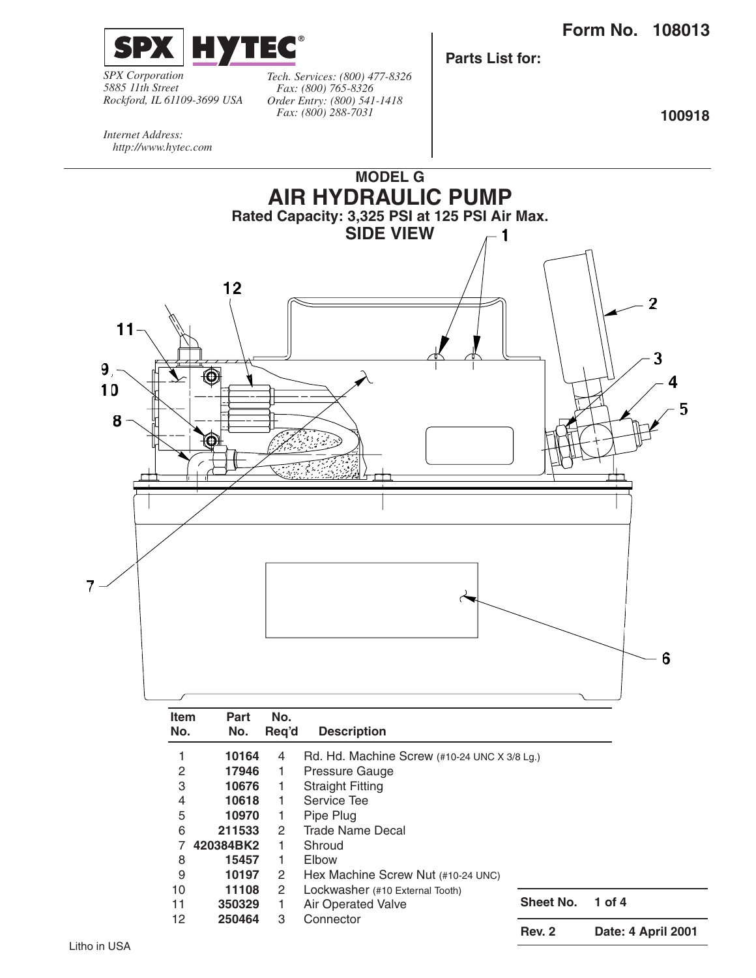

*SPX Corporation 5885 11th Street Rockford, IL 61109-3699 USA*

*Tech. Services: (800) 477-8326 Fax: (800) 765-8326 Order Entry: (800) 541-1418 Fax: (800) 288-7031*

**Parts List for:**

**100918**

*Internet Address: http://www.hytec.com*

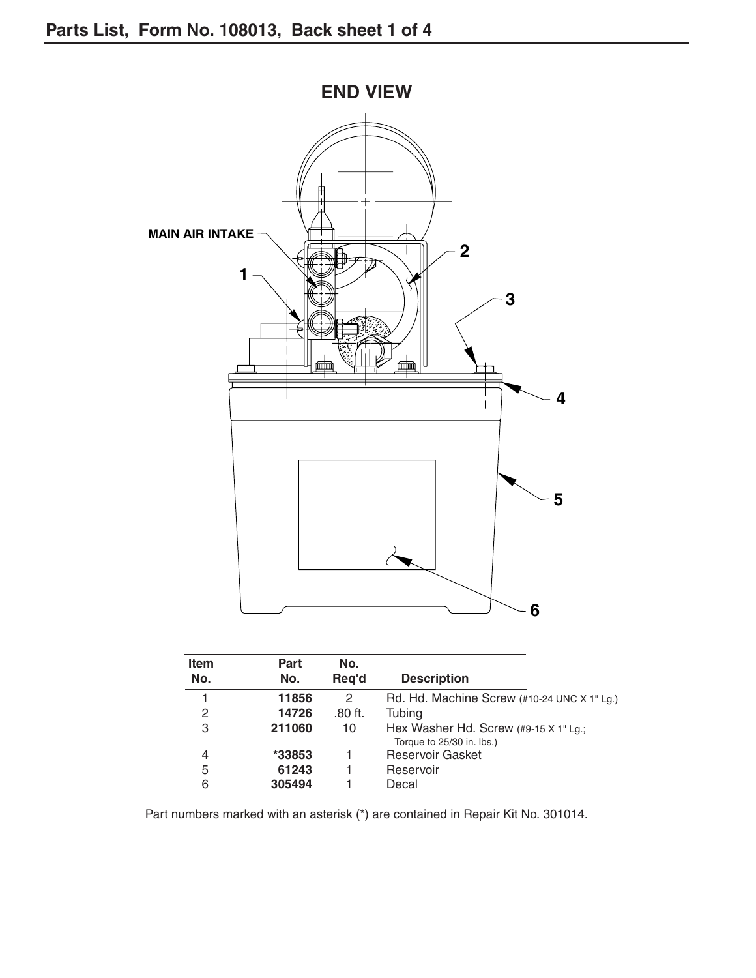

| <b>Item</b> | Part   | No.       |                                                                           |
|-------------|--------|-----------|---------------------------------------------------------------------------|
| No.         | No.    | Reg'd     | <b>Description</b>                                                        |
|             | 11856  | 2         | Rd. Hd. Machine Screw (#10-24 UNC X 1" Lg.)                               |
| 2           | 14726  | $.80$ ft. | Tubing                                                                    |
| 3           | 211060 | 10        | Hex Washer Hd. Screw $(49-15 \times 1)$ Lg.;<br>Torque to 25/30 in. lbs.) |
| 4           | *33853 |           | <b>Reservoir Gasket</b>                                                   |
| 5           | 61243  |           | Reservoir                                                                 |
| 6           | 305494 |           | Decal                                                                     |

Part numbers marked with an asterisk (\*) are contained in Repair Kit No. 301014.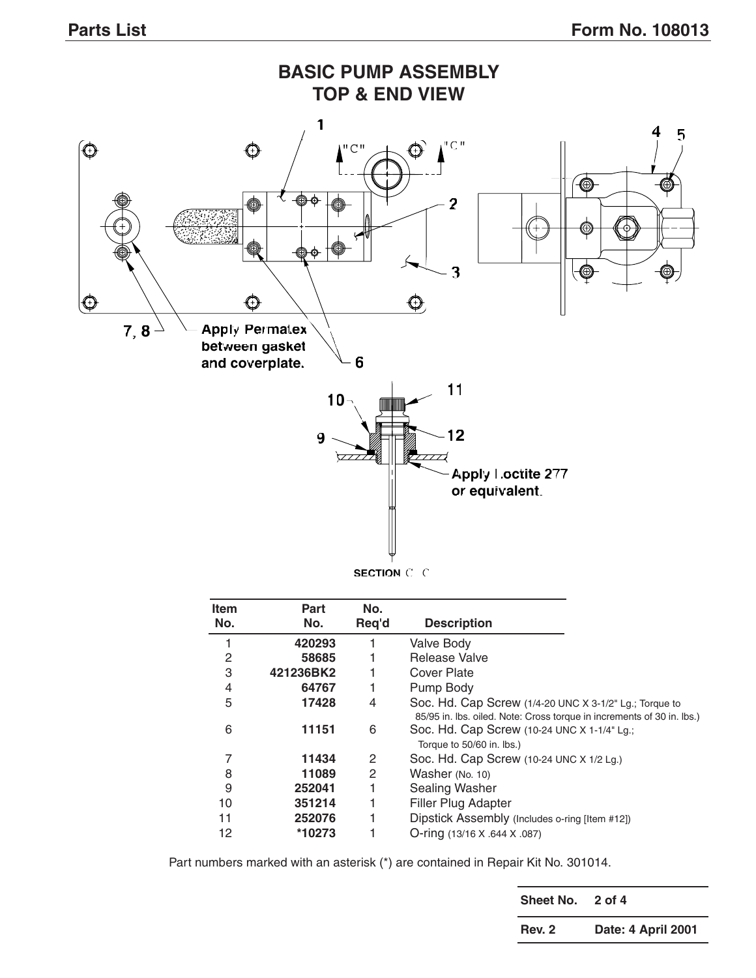

| <b>Item</b><br>No. | Part<br>No. | No.<br>Req'd | <b>Description</b>                                                                                                               |
|--------------------|-------------|--------------|----------------------------------------------------------------------------------------------------------------------------------|
| 1                  | 420293      |              | <b>Valve Body</b>                                                                                                                |
| 2                  | 58685       |              | Release Valve                                                                                                                    |
| 3                  | 421236BK2   |              | <b>Cover Plate</b>                                                                                                               |
| 4                  | 64767       | 1            | Pump Body                                                                                                                        |
| 5                  | 17428       | 4            | Soc. Hd. Cap Screw (1/4-20 UNC X 3-1/2" Lg.; Torque to<br>85/95 in. Ibs. oiled. Note: Cross torque in increments of 30 in. Ibs.) |
| 6                  | 11151       | 6            | Soc. Hd. Cap Screw (10-24 UNC X 1-1/4" Lg.;<br>Torque to 50/60 in. lbs.)                                                         |
| 7                  | 11434       | 2            | Soc. Hd. Cap Screw (10-24 UNC X 1/2 Lg.)                                                                                         |
| 8                  | 11089       | 2            | Washer (No. 10)                                                                                                                  |
| 9                  | 252041      |              | <b>Sealing Washer</b>                                                                                                            |
| 10                 | 351214      |              | Filler Plug Adapter                                                                                                              |
| 11                 | 252076      |              | Dipstick Assembly (Includes o-ring [Item #12])                                                                                   |
| 12                 | *10273      |              | O-ring (13/16 X .644 X .087)                                                                                                     |

Part numbers marked with an asterisk (\*) are contained in Repair Kit No. 301014.

**Sheet No. 2 of 4 Rev. 2 Date: 4 April 2001**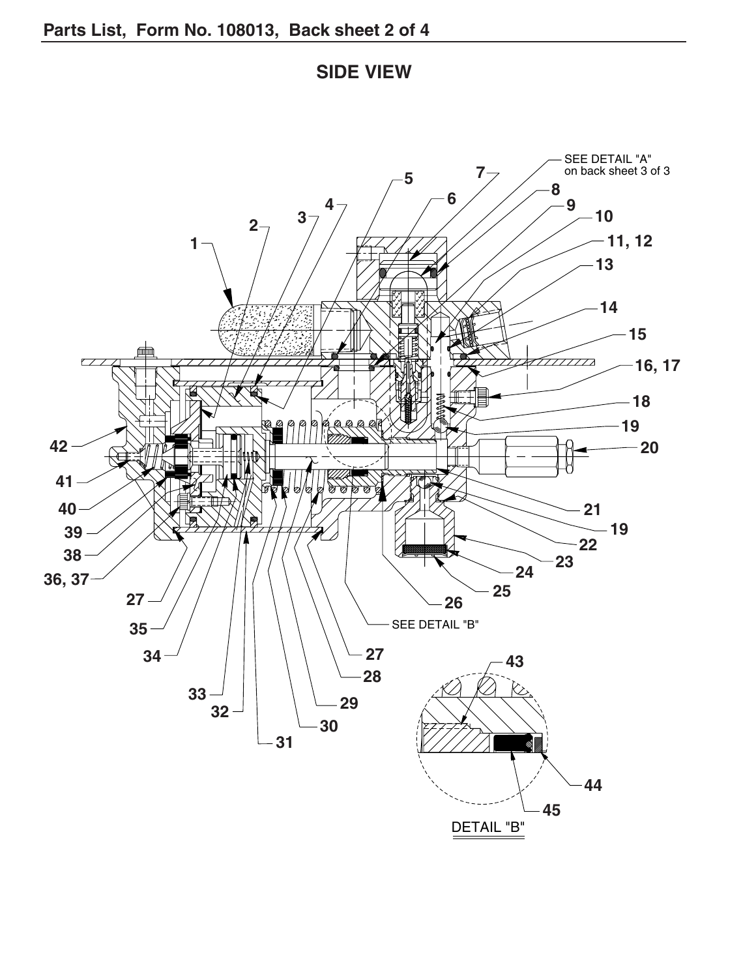**SIDE VIEW**

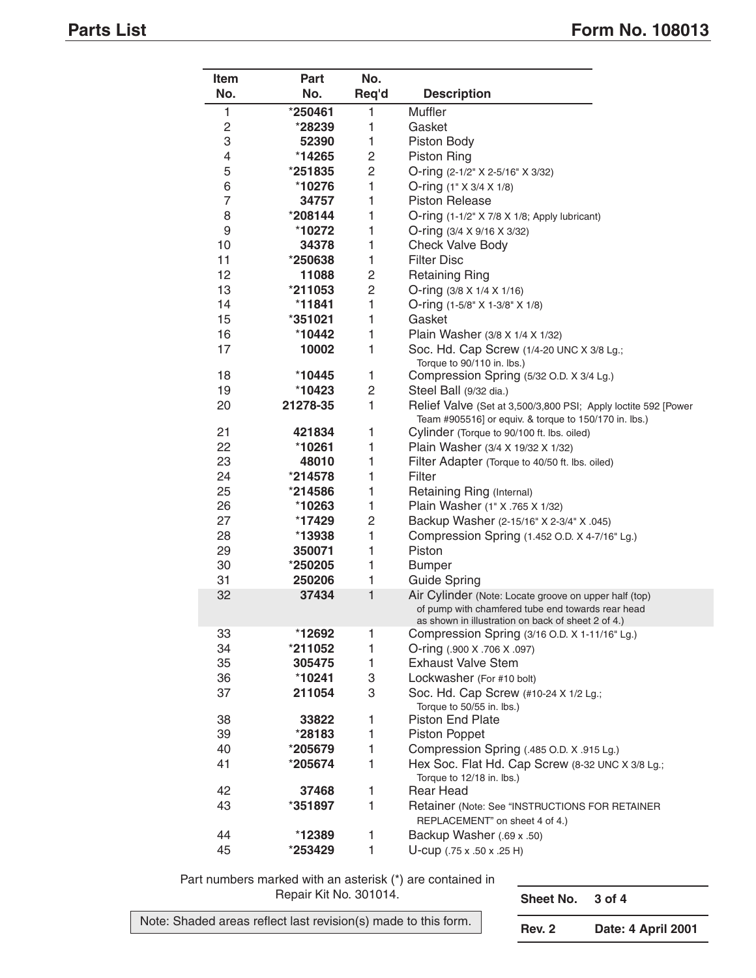| Item            | <b>Part</b> | No.            |                                                                                                         |
|-----------------|-------------|----------------|---------------------------------------------------------------------------------------------------------|
| No.             | No.         | Req'd          | <b>Description</b>                                                                                      |
| 1               | *250461     | 1              | Muffler                                                                                                 |
| 2               | *28239      | 1              | Gasket                                                                                                  |
| 3               | 52390       | 1              | Piston Body                                                                                             |
| 4               | *14265      | $\overline{c}$ | <b>Piston Ring</b>                                                                                      |
| 5               | *251835     | $\overline{c}$ | O-ring (2-1/2" X 2-5/16" X 3/32)                                                                        |
| 6               | *10276      | 1              | O-ring $(1" \times 3/4 \times 1/8)$                                                                     |
| $\overline{7}$  | 34757       | 1              | <b>Piston Release</b>                                                                                   |
| 8               | *208144     | 1              | O-ring (1-1/2" X 7/8 X 1/8; Apply lubricant)                                                            |
| 9               | *10272      | 1              | O-ring (3/4 X 9/16 X 3/32)                                                                              |
| 10              | 34378       | 1              | <b>Check Valve Body</b>                                                                                 |
| 11              | *250638     | 1              | <b>Filter Disc</b>                                                                                      |
| 12 <sup>2</sup> | 11088       | $\overline{c}$ | <b>Retaining Ring</b>                                                                                   |
| 13              | *211053     | $\overline{c}$ | O-ring (3/8 X 1/4 X 1/16)                                                                               |
| 14              | *11841      | 1              | O-ring (1-5/8" X 1-3/8" X 1/8)                                                                          |
| 15              | *351021     | 1              | Gasket                                                                                                  |
| 16              | *10442      | 1              | Plain Washer (3/8 X 1/4 X 1/32)                                                                         |
| 17              | 10002       | 1              | Soc. Hd. Cap Screw (1/4-20 UNC X 3/8 Lg.;                                                               |
|                 |             |                | Torque to 90/110 in. lbs.)                                                                              |
| 18              | *10445      | 1              | Compression Spring (5/32 O.D. X 3/4 Lg.)                                                                |
| 19              | $*10423$    | $\overline{c}$ | Steel Ball (9/32 dia.)                                                                                  |
| 20              | 21278-35    | 1              | Relief Valve (Set at 3,500/3,800 PSI; Apply loctite 592 [Power                                          |
|                 |             |                | Team #905516] or equiv. & torque to 150/170 in. lbs.)                                                   |
| 21              | 421834      | 1              | Cylinder (Torque to 90/100 ft. lbs. oiled)                                                              |
| 22              | *10261      | 1              | Plain Washer (3/4 X 19/32 X 1/32)                                                                       |
| 23              | 48010       | 1              | Filter Adapter (Torque to 40/50 ft. lbs. oiled)                                                         |
| 24              | *214578     | 1              | Filter                                                                                                  |
| 25              | *214586     | 1              | Retaining Ring (Internal)                                                                               |
| 26              | *10263      | 1              | Plain Washer (1" X .765 X 1/32)                                                                         |
| 27              | *17429      | $\overline{c}$ | Backup Washer (2-15/16" X 2-3/4" X .045)                                                                |
| 28              | $*13938$    | 1              | Compression Spring (1.452 O.D. X 4-7/16" Lg.)                                                           |
| 29              | 350071      | 1              | Piston                                                                                                  |
| 30              | *250205     | 1              | <b>Bumper</b>                                                                                           |
| 31              | 250206      | 1              | <b>Guide Spring</b>                                                                                     |
| 32              | 37434       | 1              | Air Cylinder (Note: Locate groove on upper half (top)                                                   |
|                 |             |                | of pump with chamfered tube end towards rear head<br>as shown in illustration on back of sheet 2 of 4.) |
| 33              | *12692      | 1              | Compression Spring (3/16 O.D. X 1-11/16" Lg.)                                                           |
| 34              | *211052     | 1              | O-ring (.900 X .706 X .097)                                                                             |
| 35              | 305475      | 1              | <b>Exhaust Valve Stem</b>                                                                               |
| 36              | *10241      | 3              | Lockwasher (For #10 bolt)                                                                               |
| 37              | 211054      | 3              | Soc. Hd. Cap Screw (#10-24 X 1/2 Lg.;                                                                   |
|                 |             |                | Torque to 50/55 in. lbs.)                                                                               |
| 38              | 33822       | 1              | <b>Piston End Plate</b>                                                                                 |
| 39              | *28183      | 1              | <b>Piston Poppet</b>                                                                                    |
| 40              | *205679     | 1              | Compression Spring (.485 O.D. X .915 Lg.)                                                               |
| 41              | *205674     | 1              | Hex Soc. Flat Hd. Cap Screw (8-32 UNC X 3/8 Lg.;                                                        |
|                 |             |                | Torque to 12/18 in. lbs.)                                                                               |
| 42              | 37468       | 1              | Rear Head                                                                                               |
| 43              | *351897     | $\mathbf{1}$   | Retainer (Note: See "INSTRUCTIONS FOR RETAINER                                                          |
|                 |             |                | REPLACEMENT" on sheet 4 of 4.)                                                                          |
| 44              | *12389      | 1              | Backup Washer (.69 x .50)                                                                               |
| 45              | *253429     | 1              | U-cup (.75 x .50 x .25 H)                                                                               |

Part numbers marked with an asterisk (\*) are contained in Repair Kit No. 301014. **Sheet No. 3 of 4**

Note: Shaded areas reflect last revision(s) made to this form.

**Rev. 2 Date: 4 April 2001**